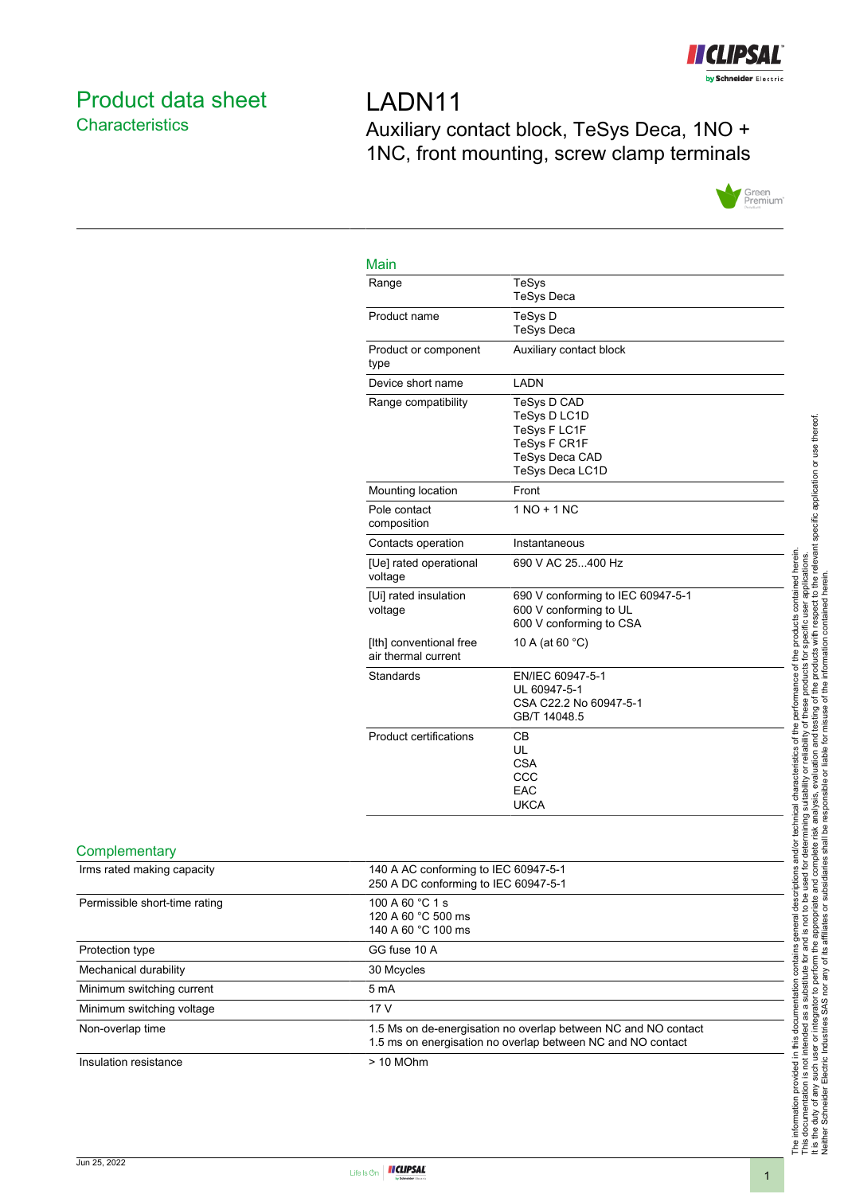

# <span id="page-0-0"></span>Product data sheet **Characteristics**

LADN11 Auxiliary contact block, TeSys Deca, 1NO + 1NC, front mounting, screw clamp terminals



## $M_{\odot}$

| iviain                                         |                                                                                                                |
|------------------------------------------------|----------------------------------------------------------------------------------------------------------------|
| Range                                          | <b>TeSys</b><br><b>TeSys Deca</b>                                                                              |
| Product name                                   | TeSys D<br><b>TeSys Deca</b>                                                                                   |
| Product or component<br>type                   | Auxiliary contact block                                                                                        |
| Device short name                              | LADN                                                                                                           |
| Range compatibility                            | TeSys D CAD<br>TeSys D LC1D<br>TeSys F LC1F<br><b>TeSys F CR1F</b><br><b>TeSys Deca CAD</b><br>TeSys Deca LC1D |
| Mounting location                              | Front                                                                                                          |
| Pole contact<br>composition                    | $1 NQ + 1 NC$                                                                                                  |
| Contacts operation                             | Instantaneous                                                                                                  |
| [Ue] rated operational<br>voltage              | 690 V AC 25400 Hz                                                                                              |
| [Ui] rated insulation<br>voltage               | 690 V conforming to IEC 60947-5-1<br>600 V conforming to UL<br>600 V conforming to CSA                         |
| [Ith] conventional free<br>air thermal current | 10 A (at 60 °C)                                                                                                |
| Standards                                      | EN/IEC 60947-5-1<br>UL 60947-5-1<br>CSA C22.2 No 60947-5-1<br>GB/T 14048.5                                     |
| <b>Product certifications</b>                  | <b>CB</b><br>UL<br><b>CSA</b><br>CCC<br>EAC<br><b>UKCA</b>                                                     |
|                                                |                                                                                                                |

#### **Complementary**

| Irms rated making capacity    | 140 A AC conforming to IEC 60947-5-1<br>250 A DC conforming to IEC 60947-5-1                                                  |
|-------------------------------|-------------------------------------------------------------------------------------------------------------------------------|
| Permissible short-time rating | 100 A 60 °C 1 s<br>120 A 60 °C 500 ms<br>140 A 60 °C 100 ms                                                                   |
| Protection type               | GG fuse 10 A                                                                                                                  |
| Mechanical durability         | 30 Mcycles                                                                                                                    |
| Minimum switching current     | 5 <sub>m</sub> A                                                                                                              |
| Minimum switching voltage     | 17 V                                                                                                                          |
| Non-overlap time              | 1.5 Ms on de-energisation no overlap between NC and NO contact<br>1.5 ms on energisation no overlap between NC and NO contact |
| Insulation resistance         | $> 10$ MOhm                                                                                                                   |
|                               |                                                                                                                               |